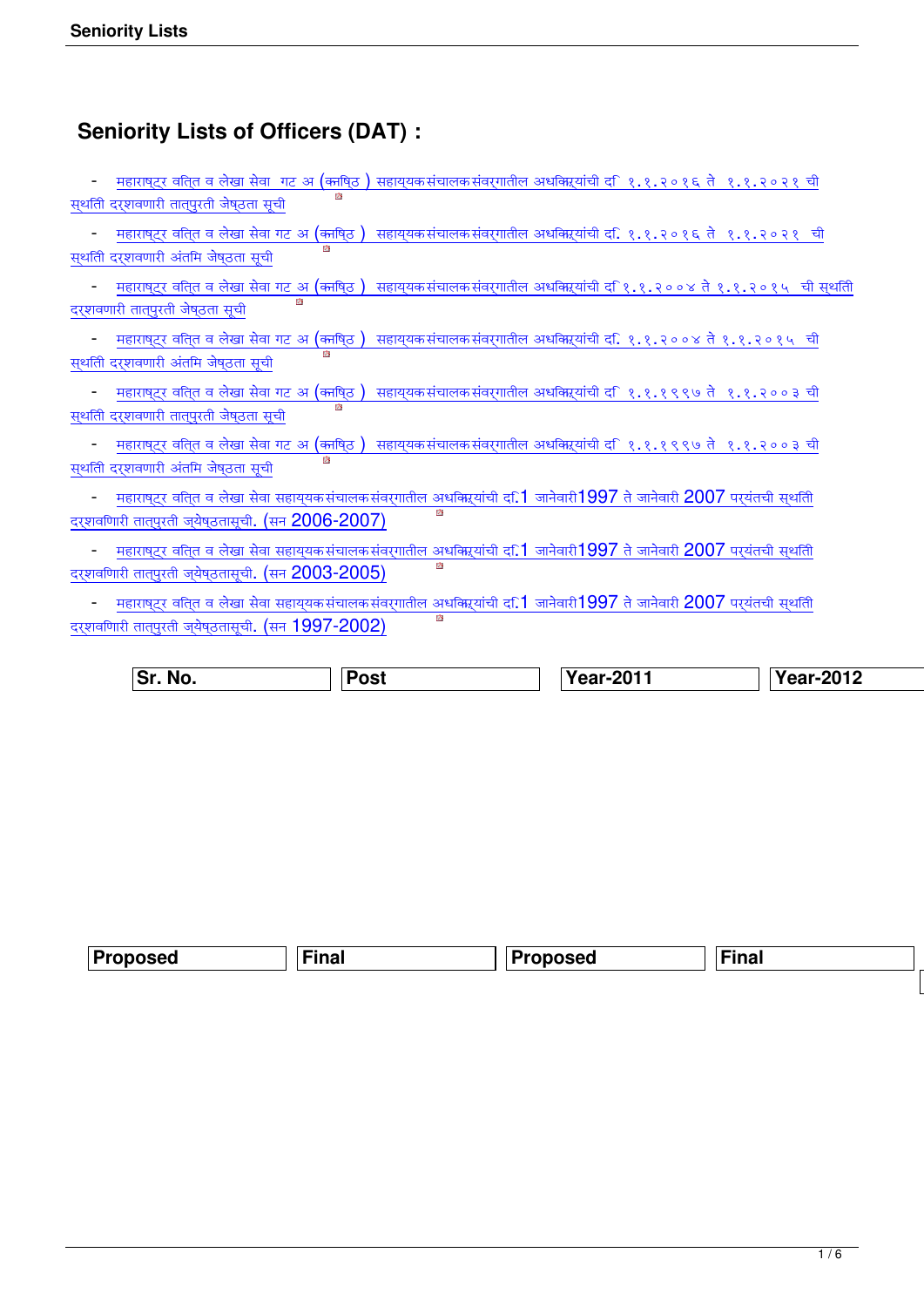## **Seniority Lists of Officers (DAT) :**

| महाराष् <b>ट्र वति्त व लेखा सेवा</b> गट अ (काषि्ठ ) सहाय् <b>यकसंचालकसंवर्गातील अधकारयांची द</b> ि१.१.२०१६ ते १.१.२०२१ ची                                                                                             |
|-----------------------------------------------------------------------------------------------------------------------------------------------------------------------------------------------------------------------|
| स्थतिी दर्शवणारी तात्पुरती जेष्ठता सूची                                                                                                                                                                               |
| महाराष् <b>ट्र वति्त व लेखा सेवा गट अ (का</b> षि्ठ )  सहाय् <b>यक संचालक संवर्</b> गातील अधकारियांची द <b>ि १.१.२०१६ ते  १.१.२०२१  ची</b><br>स्थतिी दरशवणारी अंतमि जेष्ठता सूची                                       |
| <u>महाराष्<b>ट्र व</b>ति्त व लेखा सेवा गट अ (काषि्ठ) सहाय</u> ्यकसंचालकसंवर्गातील अधकिऱ्यांची द <i>ि</i> १.१.२००४ ते १.१.२०१५ ची स्थति<br>दरशवणारी तात्पुरती जेष्ठता सूची                                             |
| महाराष्ट्र वति्त व लेखा सेवा गट अ (काषि्ठ) सहाय्यकसंचालकसंवर्गातील अधकिऱ्यांची द. १.१.२००४ ते १.१.२०१५ ची<br>स्थतिी दरशवणारी अंतमि जेष्ठता सूची                                                                       |
| महाराष् <b>ट्र वति्त व लेखा सेवा गट अ (का</b> षि्ठ )  सहाय् <b>यक संचालक संवर्गातील अधकारयांची द</b> ि१.१.१९९७ ते  १.१.२००३ ची<br>内<br>स्थतिी दर्शवणारी तात्पुरती जेष्ठता सूची                                        |
| महाराष् <b>ट्र वति्त व लेखा सेवा गट अ (क्तषि्ठ</b> )<br>सहाय्यकसंचालकसंवर्गातील अधक्रिऱ्यांची द <i>ि</i> १.१.१९९७ ते १.१.२००३ ची<br>内<br>स्थति दर्शवणारी अंतमि जेष्ठता सूची                                           |
| <u>महाराष्<b>ट्र वति्त व लेखा सेवा सहाय्</b>यकसंचालकसंवर्गातील अधक</u> ्रियांची द <b>़1</b> जानेवारी1997 ते जानेवारी 2007 पर् <b>यंतची स्</b> थतिी<br>内<br>दर्शवणिारी तात्पुरती ज्येष्ठतासूची. (सन 2006-2007)         |
| महाराष् <b>ट्र वति्त व लेखा सेवा सहाय्</b> यकसंचालकसंवर्गातील अधक्रिऱ्यांची द <b>.1</b> जानेवारी $1997$ ते जानेवारी $2007$ पर् <b>यंतची स्</b> थतिी<br>内<br>दर्शवणिारी तात्पुरती ज्येष्ठतासूची. (सन $2003$ - $2005$ ) |
| <u>महाराष्<b>ट्र वति्त व लेखा सेवा सहाय्</b>यकसंचालकसंवर्गातील अधक्रियांची दा.1 जानेवारी199</u> 7 ते जानेवारी 2007 परयंतची स्थतिी<br>内<br>दर्शवणिारी तात्पुरती ज्येष्ठतासूची. (सन $1997$ - $2002$ )                   |

| ∣Sr. No. | <b>Post</b> | Year-2011 | <b>Year-2012</b> |
|----------|-------------|-----------|------------------|
|----------|-------------|-----------|------------------|

| nncoc<br>ыл | .ina<br>ша<br>____ | oposed | $\sim$<br>-ino<br>шаг |            |
|-------------|--------------------|--------|-----------------------|------------|
|             |                    |        |                       | D.,<br>. . |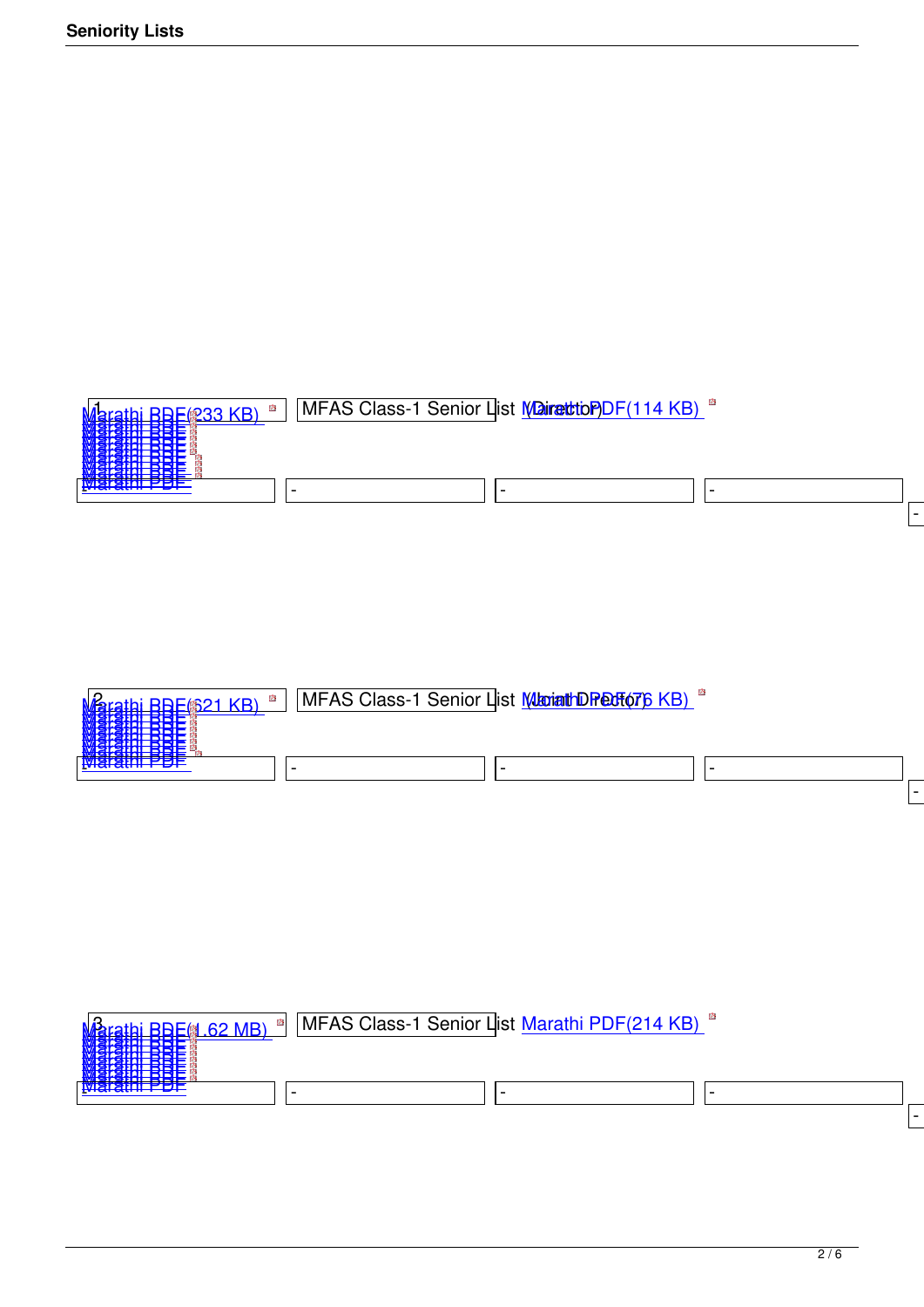



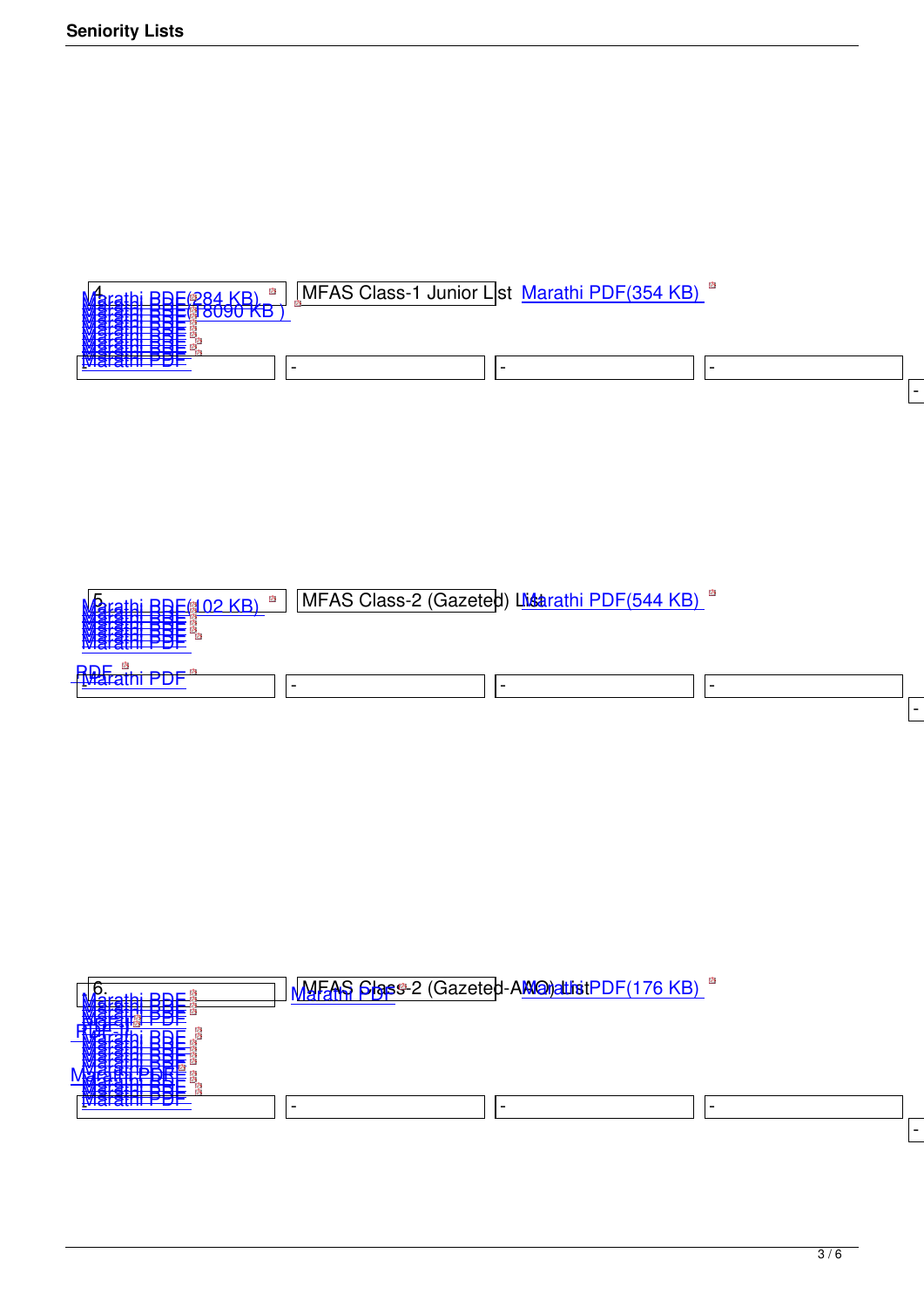| <b>SHEATAYAYA_IVE</b><br><u>"谢谢说明书书书</u> | [MFAS Class-1 Junior List Marathi PDF(354 KB) |  |
|------------------------------------------|-----------------------------------------------|--|
| ĦĦ<br>ее                                 |                                               |  |
|                                          |                                               |  |
|                                          |                                               |  |

| 内<br>rathi BBE <i>l</i> (02 KB)<br>---------<br><u> ESTERN SIDE</u><br>m RRF<br>4-11AL 24212<br>A-1181 - 11-11- | MFAS Class-2 (Gazeted) Listrathi PDF(544 KB) <sup>"</sup> |  |
|-----------------------------------------------------------------------------------------------------------------|-----------------------------------------------------------|--|
| <b>Rustra</b>                                                                                                   |                                                           |  |

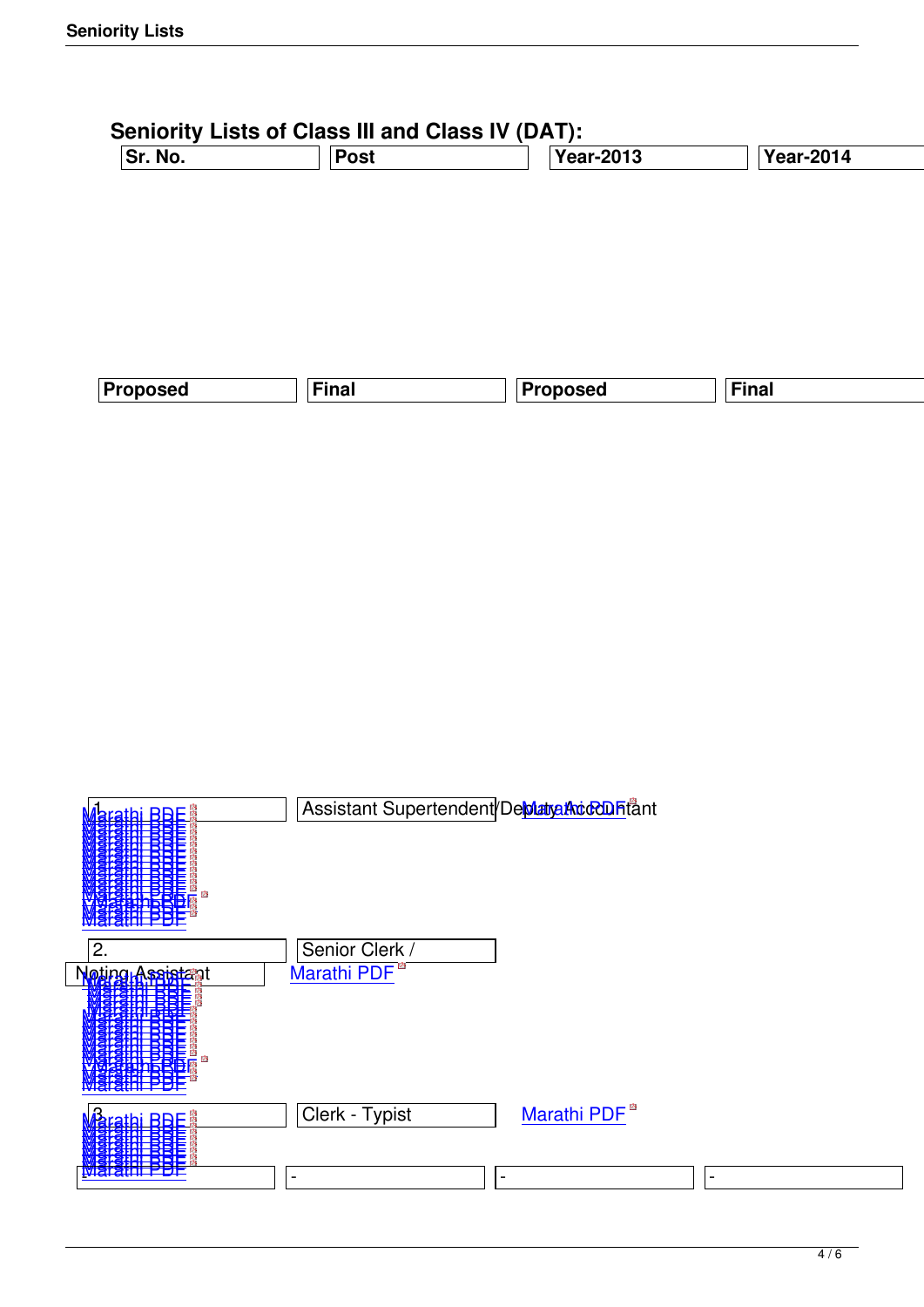| Sr. No.  | <b>Post</b> | <b>Year-2013</b> | <b>Year-2014</b> |   |
|----------|-------------|------------------|------------------|---|
|          |             |                  |                  |   |
|          |             |                  |                  |   |
|          |             |                  |                  |   |
|          |             |                  |                  |   |
|          |             |                  |                  |   |
| Proposed | Final       | <b>Proposed</b>  | Final            |   |
|          |             |                  |                  | P |

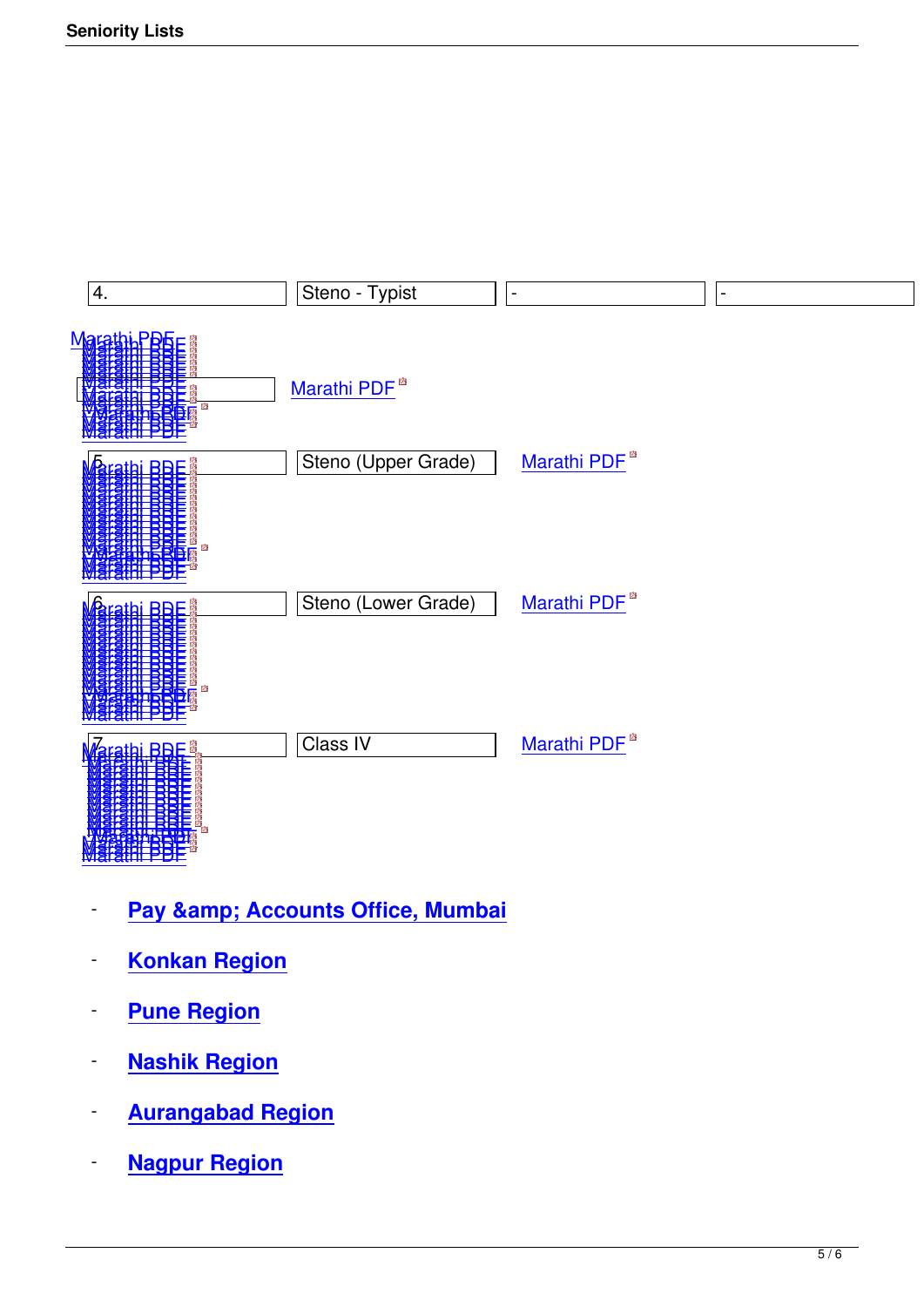

- **[Pay &](images/stories/senioritylist/2020/class_4_dat_2020_temp.pdf)[a](images/stories/senioritylist/dat/2021/Class4_proposed_2021.pdf)mp; Accounts Office, Mumbai**
- **Konkan Region**
- **Pune Region**
- **Nashik Region**
- **Aurangabad Region**
- **Nagpur Region**